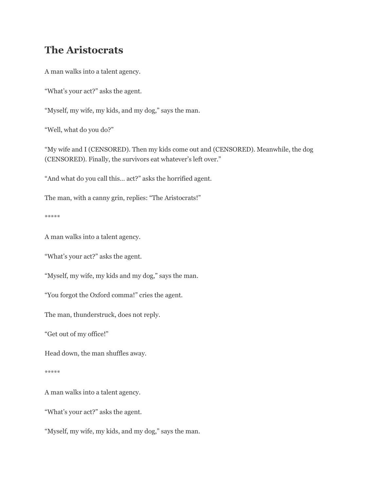## **The Aristocrats**

A man walks into a talent agency.

"What's your act?" asks the agent.

"Myself, my wife, my kids, and my dog," says the man.

"Well, what do you do?"

"My wife and I (CENSORED). Then my kids come out and (CENSORED). Meanwhile, the dog (CENSORED). Finally, the survivors eat whatever's left over."

"And what do you call this… act?" asks the horrified agent.

The man, with a canny grin, replies: "The Aristocrats!"

\*\*\*\*\*

A man walks into a talent agency.

"What's your act?" asks the agent.

"Myself, my wife, my kids and my dog," says the man.

"You forgot the Oxford comma!" cries the agent.

The man, thunderstruck, does not reply.

"Get out of my office!"

Head down, the man shuffles away.

\*\*\*\*\*

A man walks into a talent agency.

"What's your act?" asks the agent.

"Myself, my wife, my kids, and my dog," says the man.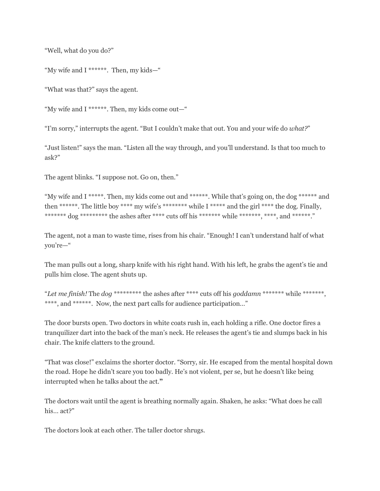"Well, what do you do?"

"My wife and I \*\*\*\*\*\*. Then, my kids—"

"What was that?" says the agent.

"My wife and I \*\*\*\*\*\*. Then, my kids come out—"

"I'm sorry," interrupts the agent. "But I couldn't make that out. You and your wife do *what?*"

"Just listen!" says the man. "Listen all the way through, and you'll understand. Is that too much to ask?"

The agent blinks. "I suppose not. Go on, then."

"My wife and I \*\*\*\*\*. Then, my kids come out and \*\*\*\*\*\*. While that's going on, the dog \*\*\*\*\*\* and then \*\*\*\*\*\*. The little boy \*\*\*\* my wife's \*\*\*\*\*\*\*\* while I \*\*\*\*\* and the girl \*\*\*\* the dog. Finally, \*\*\*\*\*\*\* dog \*\*\*\*\*\*\*\*\* the ashes after \*\*\*\* cuts off his \*\*\*\*\*\*\* while \*\*\*\*\*\*\*, \*\*\*\*, and \*\*\*\*\*\*."

The agent, not a man to waste time, rises from his chair. "Enough! I can't understand half of what you're—"

The man pulls out a long, sharp knife with his right hand. With his left, he grabs the agent's tie and pulls him close. The agent shuts up.

"*Let me finish!* The *dog* \*\*\*\*\*\*\*\*\* the ashes after \*\*\*\* cuts off his *goddamn* \*\*\*\*\*\*\* while \*\*\*\*\*\*\*, \*\*\*\*, and \*\*\*\*\*\*. Now, the next part calls for audience participation…"

The door bursts open. Two doctors in white coats rush in, each holding a rifle. One doctor fires a tranquilizer dart into the back of the man's neck. He releases the agent's tie and slumps back in his chair. The knife clatters to the ground.

"That was close!" exclaims the shorter doctor. "Sorry, sir. He escaped from the mental hospital down the road. Hope he didn't scare you too badly. He's not violent, per se, but he doesn't like being interrupted when he talks about the act.**"**

The doctors wait until the agent is breathing normally again. Shaken, he asks: "What does he call his… act?"

The doctors look at each other. The taller doctor shrugs.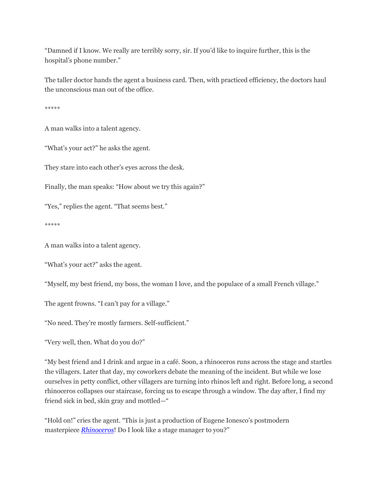"Damned if I know. We really are terribly sorry, sir. If you'd like to inquire further, this is the hospital's phone number."

The taller doctor hands the agent a business card. Then, with practiced efficiency, the doctors haul the unconscious man out of the office.

\*\*\*\*\*

A man walks into a talent agency.

"What's your act?" he asks the agent.

They stare into each other's eyes across the desk.

Finally, the man speaks: "How about we try this again?"

"Yes," replies the agent. "That seems best."

\*\*\*\*\*

A man walks into a talent agency.

"What's your act?" asks the agent.

"Myself, my best friend, my boss, the woman I love, and the populace of a small French village."

The agent frowns. "I can't pay for a village."

"No need. They're mostly farmers. Self-sufficient."

"Very well, then. What do you do?"

"My best friend and I drink and argue in a café. Soon, a rhinoceros runs across the stage and startles the villagers. Later that day, my coworkers debate the meaning of the incident. But while we lose ourselves in petty conflict, other villagers are turning into rhinos left and right. Before long, a second rhinoceros collapses our staircase, forcing us to escape through a window. The day after, I find my friend sick in bed, skin gray and mottled—"

"Hold on!" cries the agent. "This is just a production of Eugene Ionesco's postmodern masterpiece *[Rhinoceros](http://en.wikipedia.org/wiki/Rhinoceros_(play))*! Do I look like a stage manager to you?"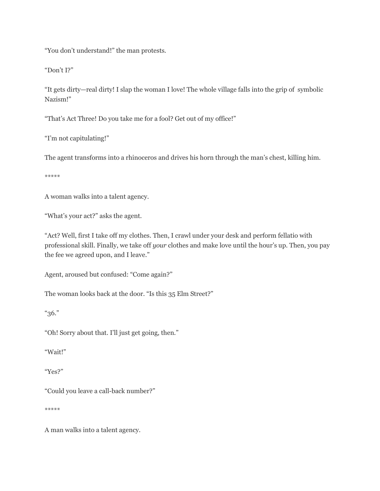"You don't understand!" the man protests.

"Don't I?"

"It gets dirty—real dirty! I slap the woman I love! The whole village falls into the grip of symbolic Nazism!"

"That's Act Three! Do you take me for a fool? Get out of my office!"

"I'm not capitulating!"

The agent transforms into a rhinoceros and drives his horn through the man's chest, killing him.

\*\*\*\*\*

A woman walks into a talent agency.

"What's your act?" asks the agent.

"Act? Well, first I take off my clothes. Then, I crawl under your desk and perform fellatio with professional skill. Finally, we take off *your* clothes and make love until the hour's up. Then, you pay the fee we agreed upon, and I leave."

Agent, aroused but confused: "Come again?"

The woman looks back at the door. "Is this 35 Elm Street?"

"36."

"Oh! Sorry about that. I'll just get going, then."

"Wait!"

"Yes?"

"Could you leave a call-back number?"

\*\*\*\*\*

A man walks into a talent agency.